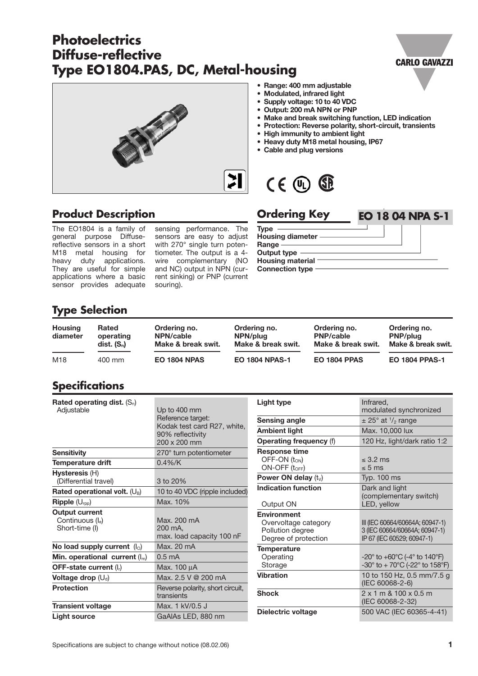# **Photoelectrics Diffuse-reflective Type EO1804.PAS, DC, Metal-housing**





#### **• Range: 400 mm adjustable**

- **Modulated, infrared light**
	- **Supply voltage: 10 to 40 VDC**
- **Output: 200 mA NPN or PNP**
- **Make and break switching function, LED indication**
- **Protection: Reverse polarity, short-circuit, transients**
- **High immunity to ambient light**
- **Heavy duty M18 metal housing, IP67**
- **Cable and plug versions**



#### **Product Description**

The EO1804 is a family of general purpose Diffusereflective sensors in a short M18 metal housing for heavy duty applications. They are useful for simple applications where a basic sensor provides adequate

sensing performance. The sensors are easy to adjust with 270° single turn potentiometer. The output is a 4 wire complementary (NO and NC) output in NPN (current sinking) or PNP (current souring).

| <b>Ordering Key</b>     | <b>EO 18 04 NPA S-1</b> |
|-------------------------|-------------------------|
| <b>Type</b>             |                         |
| Housing diameter -      |                         |
| Range<br>Output type    |                         |
| <b>Housing material</b> |                         |
| <b>Connection type</b>  |                         |
|                         |                         |

### **Type Selection**

| <b>Housing</b><br>diameter | <b>Rated</b><br>operating<br>$dist.$ $(S_n)$ | Ordering no.<br>NPN/cable<br>Make & break swit. | Ordering no.<br>NPN/plug<br>Make & break swit. | Ordering no.<br><b>PNP/cable</b><br>Make & break swit. | Ordering no.<br><b>PNP/plug</b><br>Make & break swit. |
|----------------------------|----------------------------------------------|-------------------------------------------------|------------------------------------------------|--------------------------------------------------------|-------------------------------------------------------|
| M18                        | 400 mm                                       | <b>EO 1804 NPAS</b>                             | <b>EO 1804 NPAS-1</b>                          | <b>EO 1804 PPAS</b>                                    | <b>EO 1804 PPAS-1</b>                                 |

### **Specifications**

| Rated operating dist. $(S_n)$<br>Adjustable                | Up to 400 mm<br>Reference target:<br>Kodak test card R27, white,<br>90% reflectivity<br>200 x 200 mm |
|------------------------------------------------------------|------------------------------------------------------------------------------------------------------|
| <b>Sensitivity</b>                                         | 270° turn potentiometer                                                                              |
| <b>Temperature drift</b>                                   | $0.4\%$ /K                                                                                           |
| <b>Hysteresis (H)</b><br>(Differential travel)             | 3 to 20%                                                                                             |
| Rated operational volt. $(U_B)$                            | 10 to 40 VDC (ripple included)                                                                       |
| $\mathsf{Ripple}\left(\bigcup_{\text{rop}}\right)$         | Max. 10%                                                                                             |
| <b>Output current</b><br>Continuous (le)<br>Short-time (I) | Max. 200 mA<br>200 mA,<br>max. load capacity 100 nF                                                  |
| No load supply current $(IO)$                              | Max. 20 mA                                                                                           |
| Min. operational current $(I_m)$                           | $0.5 \text{ mA}$                                                                                     |
| OFF-state current $(I_n)$                                  | Max. 100 µA                                                                                          |
| Voltage drop $(U_d)$                                       | Max. 2.5 V @ 200 mA                                                                                  |
| <b>Protection</b>                                          | Reverse polarity, short circuit,<br>transients                                                       |
| <b>Transient voltage</b>                                   | Max. 1 kV/0.5 J                                                                                      |
| <b>Light source</b>                                        | GaAIAs LED, 880 nm                                                                                   |

| Light type                              | Infrared,<br>modulated synchronized                                    |  |  |  |
|-----------------------------------------|------------------------------------------------------------------------|--|--|--|
| Sensing angle                           | $\pm$ 25° at $\frac{1}{2}$ range                                       |  |  |  |
| Ambient light                           | Max. 10,000 lux                                                        |  |  |  |
| <b>Operating frequency (f)</b>          | 120 Hz, light/dark ratio 1:2                                           |  |  |  |
| <b>Response time</b>                    |                                                                        |  |  |  |
| OFF-ON $(t_{ON})$                       | $< 3.2 \text{ ms}$                                                     |  |  |  |
| $ON-OFF$ ( $t_{OFF}$ )                  | $\leq 5$ ms                                                            |  |  |  |
| Power ON delay $(t_v)$                  | <b>Typ. 100 ms</b>                                                     |  |  |  |
| <b>Indication function</b><br>Output ON | Dark and light<br>(complementary switch)<br>LED, yellow                |  |  |  |
| <b>Environment</b>                      |                                                                        |  |  |  |
| Overvoltage category                    | III (IEC 60664/60664A; 60947-1)                                        |  |  |  |
| Pollution degree                        | 3 (IEC 60664/60664A; 60947-1)                                          |  |  |  |
| Degree of protection                    | IP 67 (IEC 60529; 60947-1)                                             |  |  |  |
| <b>Temperature</b>                      |                                                                        |  |  |  |
| Operating                               | -20 $^{\circ}$ to +60 $^{\circ}$ C (-4 $^{\circ}$ to 140 $^{\circ}$ F) |  |  |  |
| Storage                                 | -30° to + 70°C (-22° to 158°F)                                         |  |  |  |
| <b>Vibration</b>                        | 10 to 150 Hz, 0.5 mm/7.5 g<br>(IEC 60068-2-6)                          |  |  |  |
| <b>Shock</b>                            | $2 \times 1$ m & $100 \times 0.5$ m<br>(IEC 60068-2-32)                |  |  |  |
| Dielectric voltage                      | 500 VAC (IEC 60365-4-41)                                               |  |  |  |